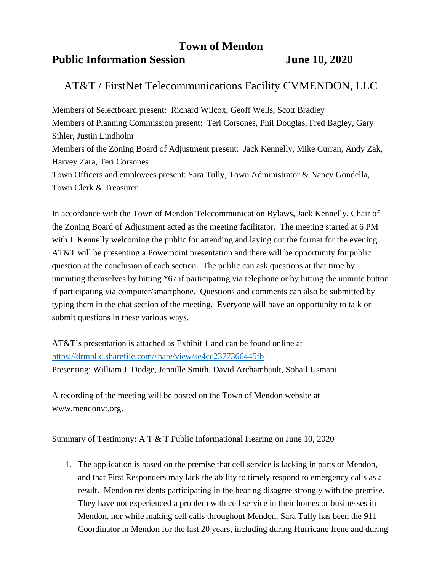## **Town of Mendon**

## **Public Information Session June 10, 2020**

## AT&T / FirstNet Telecommunications Facility CVMENDON, LLC

Members of Selectboard present: Richard Wilcox, Geoff Wells, Scott Bradley Members of Planning Commission present: Teri Corsones, Phil Douglas, Fred Bagley, Gary Sihler, Justin Lindholm Members of the Zoning Board of Adjustment present: Jack Kennelly, Mike Curran, Andy Zak, Harvey Zara, Teri Corsones Town Officers and employees present: Sara Tully, Town Administrator & Nancy Gondella, Town Clerk & Treasurer

In accordance with the Town of Mendon Telecommunication Bylaws, Jack Kennelly, Chair of the Zoning Board of Adjustment acted as the meeting facilitator. The meeting started at 6 PM with J. Kennelly welcoming the public for attending and laying out the format for the evening. AT&T will be presenting a Powerpoint presentation and there will be opportunity for public question at the conclusion of each section. The public can ask questions at that time by unmuting themselves by hitting \*67 if participating via telephone or by hitting the unmute button if participating via computer/smartphone. Questions and comments can also be submitted by typing them in the chat section of the meeting. Everyone will have an opportunity to talk or submit questions in these various ways.

AT&T's presentation is attached as Exhibit 1 and can be found online at <https://drmpllc.sharefile.com/share/view/se4cc2377366445fb> Presenting: William J. Dodge, Jennille Smith, David Archambault, Sohail Usmani

A recording of the meeting will be posted on the Town of Mendon website at www.mendonvt.org.

Summary of Testimony: A T & T Public Informational Hearing on June 10, 2020

1. The application is based on the premise that cell service is lacking in parts of Mendon, and that First Responders may lack the ability to timely respond to emergency calls as a result. Mendon residents participating in the hearing disagree strongly with the premise. They have not experienced a problem with cell service in their homes or businesses in Mendon, nor while making cell calls throughout Mendon. Sara Tully has been the 911 Coordinator in Mendon for the last 20 years, including during Hurricane Irene and during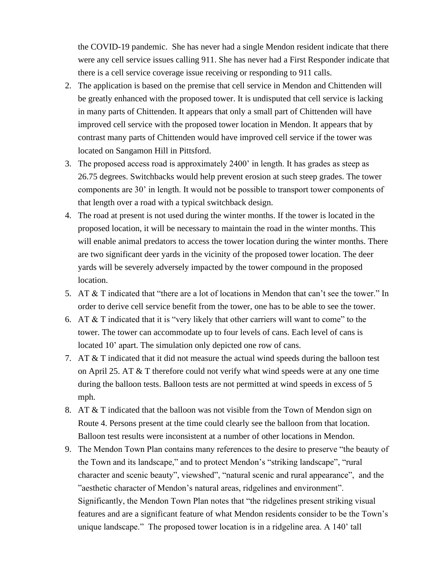the COVID-19 pandemic. She has never had a single Mendon resident indicate that there were any cell service issues calling 911. She has never had a First Responder indicate that there is a cell service coverage issue receiving or responding to 911 calls.

- 2. The application is based on the premise that cell service in Mendon and Chittenden will be greatly enhanced with the proposed tower. It is undisputed that cell service is lacking in many parts of Chittenden. It appears that only a small part of Chittenden will have improved cell service with the proposed tower location in Mendon. It appears that by contrast many parts of Chittenden would have improved cell service if the tower was located on Sangamon Hill in Pittsford.
- 3. The proposed access road is approximately 2400' in length. It has grades as steep as 26.75 degrees. Switchbacks would help prevent erosion at such steep grades. The tower components are 30' in length. It would not be possible to transport tower components of that length over a road with a typical switchback design.
- 4. The road at present is not used during the winter months. If the tower is located in the proposed location, it will be necessary to maintain the road in the winter months. This will enable animal predators to access the tower location during the winter months. There are two significant deer yards in the vicinity of the proposed tower location. The deer yards will be severely adversely impacted by the tower compound in the proposed location.
- 5. AT & T indicated that "there are a lot of locations in Mendon that can't see the tower." In order to derive cell service benefit from the tower, one has to be able to see the tower.
- 6. AT & T indicated that it is "very likely that other carriers will want to come" to the tower. The tower can accommodate up to four levels of cans. Each level of cans is located 10' apart. The simulation only depicted one row of cans.
- 7. AT & T indicated that it did not measure the actual wind speeds during the balloon test on April 25. AT & T therefore could not verify what wind speeds were at any one time during the balloon tests. Balloon tests are not permitted at wind speeds in excess of 5 mph.
- 8. AT & T indicated that the balloon was not visible from the Town of Mendon sign on Route 4. Persons present at the time could clearly see the balloon from that location. Balloon test results were inconsistent at a number of other locations in Mendon.
- 9. The Mendon Town Plan contains many references to the desire to preserve "the beauty of the Town and its landscape," and to protect Mendon's "striking landscape", "rural character and scenic beauty", viewshed", "natural scenic and rural appearance", and the "aesthetic character of Mendon's natural areas, ridgelines and environment". Significantly, the Mendon Town Plan notes that "the ridgelines present striking visual features and are a significant feature of what Mendon residents consider to be the Town's unique landscape." The proposed tower location is in a ridgeline area. A 140' tall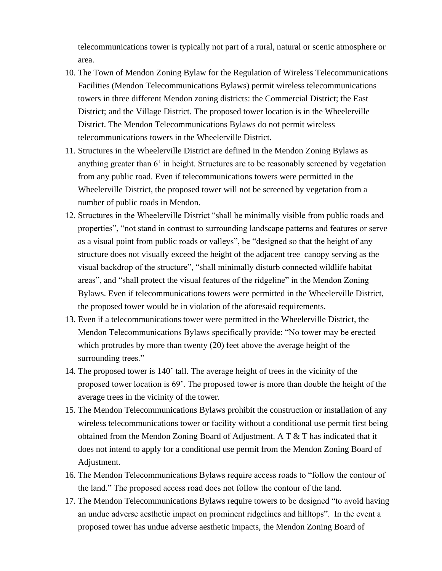telecommunications tower is typically not part of a rural, natural or scenic atmosphere or area.

- 10. The Town of Mendon Zoning Bylaw for the Regulation of Wireless Telecommunications Facilities (Mendon Telecommunications Bylaws) permit wireless telecommunications towers in three different Mendon zoning districts: the Commercial District; the East District; and the Village District. The proposed tower location is in the Wheelerville District. The Mendon Telecommunications Bylaws do not permit wireless telecommunications towers in the Wheelerville District.
- 11. Structures in the Wheelerville District are defined in the Mendon Zoning Bylaws as anything greater than 6' in height. Structures are to be reasonably screened by vegetation from any public road. Even if telecommunications towers were permitted in the Wheelerville District, the proposed tower will not be screened by vegetation from a number of public roads in Mendon.
- 12. Structures in the Wheelerville District "shall be minimally visible from public roads and properties", "not stand in contrast to surrounding landscape patterns and features or serve as a visual point from public roads or valleys", be "designed so that the height of any structure does not visually exceed the height of the adjacent tree canopy serving as the visual backdrop of the structure", "shall minimally disturb connected wildlife habitat areas", and "shall protect the visual features of the ridgeline" in the Mendon Zoning Bylaws. Even if telecommunications towers were permitted in the Wheelerville District, the proposed tower would be in violation of the aforesaid requirements.
- 13. Even if a telecommunications tower were permitted in the Wheelerville District, the Mendon Telecommunications Bylaws specifically provide: "No tower may be erected which protrudes by more than twenty (20) feet above the average height of the surrounding trees."
- 14. The proposed tower is 140' tall. The average height of trees in the vicinity of the proposed tower location is 69'. The proposed tower is more than double the height of the average trees in the vicinity of the tower.
- 15. The Mendon Telecommunications Bylaws prohibit the construction or installation of any wireless telecommunications tower or facility without a conditional use permit first being obtained from the Mendon Zoning Board of Adjustment. A T & T has indicated that it does not intend to apply for a conditional use permit from the Mendon Zoning Board of Adjustment.
- 16. The Mendon Telecommunications Bylaws require access roads to "follow the contour of the land." The proposed access road does not follow the contour of the land.
- 17. The Mendon Telecommunications Bylaws require towers to be designed "to avoid having an undue adverse aesthetic impact on prominent ridgelines and hilltops". In the event a proposed tower has undue adverse aesthetic impacts, the Mendon Zoning Board of